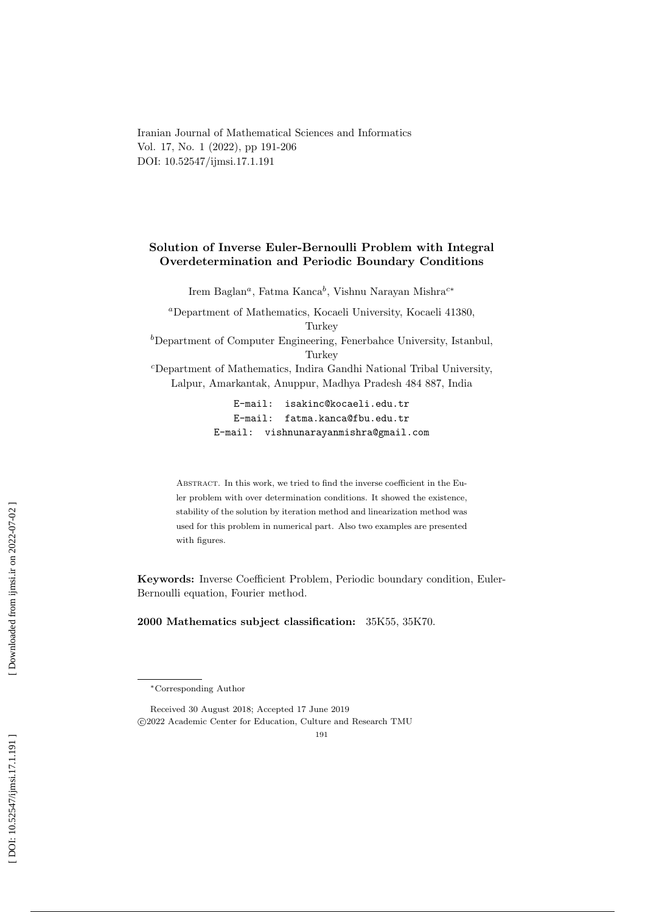Iranian Journal of Mathematical Sciences and Informatics Vol. 17, No. 1 (2022), pp 191-206 DOI: 10.52547/ijmsi.17.1.191

# Solution of Inverse Euler-Bernoulli Problem with Integral Overdetermination and Periodic Boundary Conditions

Irem Baglan<sup>a</sup>, Fatma Kanca<sup>b</sup>, Vishnu Narayan Mishra<sup>c\*</sup>

<sup>a</sup>Department of Mathematics, Kocaeli University, Kocaeli 41380, **Turkey** <sup>b</sup>Department of Computer Engineering, Fenerbahce University, Istanbul, **Turkey** 

<sup>c</sup>Department of Mathematics, Indira Gandhi National Tribal University, Lalpur, Amarkantak, Anuppur, Madhya Pradesh 484 887, India

> E-mail: isakinc@kocaeli.edu.tr E-mail: fatma.kanca@fbu.edu.tr E-mail: vishnunarayanmishra@gmail.com

Abstract. In this work, we tried to find the inverse coefficient in the Euler problem with over determination conditions. It showed the existence, stability of the solution by iteration method and linearization method was used for this problem in numerical part. Also two examples are presented with figures.

Keywords: Inverse Coefficient Problem, Periodic boundary condition, Euler-Bernoulli equation, Fourier method.

2000 Mathematics subject classification: 35K55, 35K70.

<sup>∗</sup>Corresponding Author

Received 30 August 2018; Accepted 17 June 2019 c 2022 Academic Center for Education, Culture and Research TMU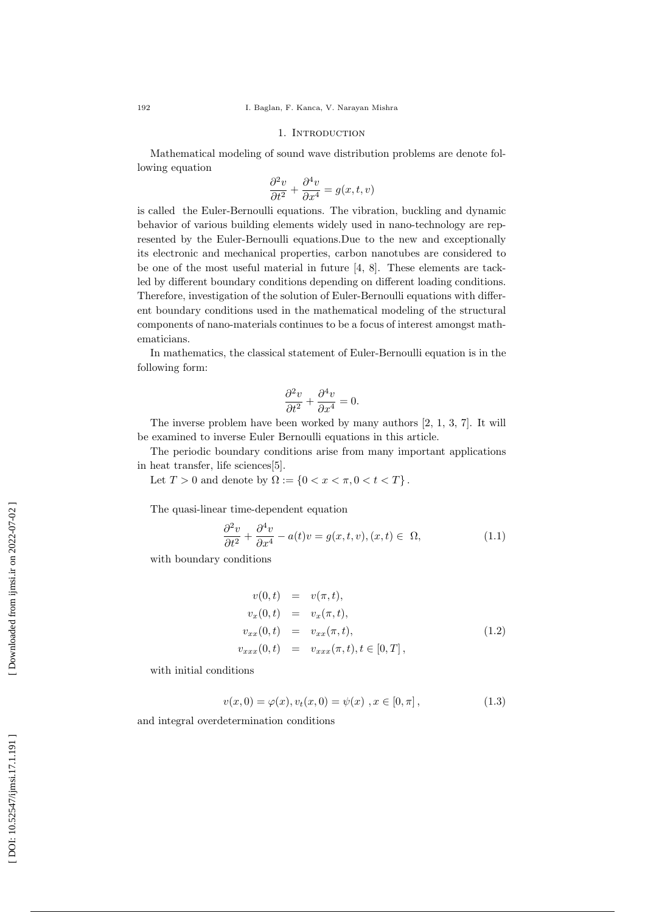#### 1. INTRODUCTION

Mathematical modeling of sound wave distribution problems are denote following equation

$$
\frac{\partial^2 v}{\partial t^2} + \frac{\partial^4 v}{\partial x^4} = g(x, t, v)
$$

is called the Euler-Bernoulli equations. The vibration, buckling and dynamic behavior of various building elements widely used in nano-technology are represented by the Euler-Bernoulli equations.Due to the new and exceptionally its electronic and mechanical properties, carbon nanotubes are considered to be one of the most useful material in future [4, 8]. These elements are tackled by different boundary conditions depending on different loading conditions. Therefore, investigation of the solution of Euler-Bernoulli equations with different boundary conditions used in the mathematical modeling of the structural components of nano-materials continues to be a focus of interest amongst mathematicians.

In mathematics, the classical statement of Euler-Bernoulli equation is in the following form:

$$
\frac{\partial^2 v}{\partial t^2} + \frac{\partial^4 v}{\partial x^4} = 0.
$$

The inverse problem have been worked by many authors [2, 1, 3, 7]. It will be examined to inverse Euler Bernoulli equations in this article.

The periodic boundary conditions arise from many important applications in heat transfer, life sciences[5].

Let  $T > 0$  and denote by  $\Omega := \{ 0 < x < \pi, 0 < t < T \}$ .

The quasi-linear time-dependent equation

$$
\frac{\partial^2 v}{\partial t^2} + \frac{\partial^4 v}{\partial x^4} - a(t)v = g(x, t, v), (x, t) \in \Omega,
$$
\n(1.1)

with boundary conditions

$$
v(0,t) = v(\pi, t), \n v_x(0,t) = v_x(\pi, t), \n v_{xx}(0,t) = v_{xx}(\pi, t), \n v_{xxx}(0,t) = v_{xxx}(\pi, t), t \in [0, T],
$$
\n(1.2)

with initial conditions

$$
v(x,0) = \varphi(x), v_t(x,0) = \psi(x), x \in [0,\pi],
$$
\n(1.3)

and integral overdetermination conditions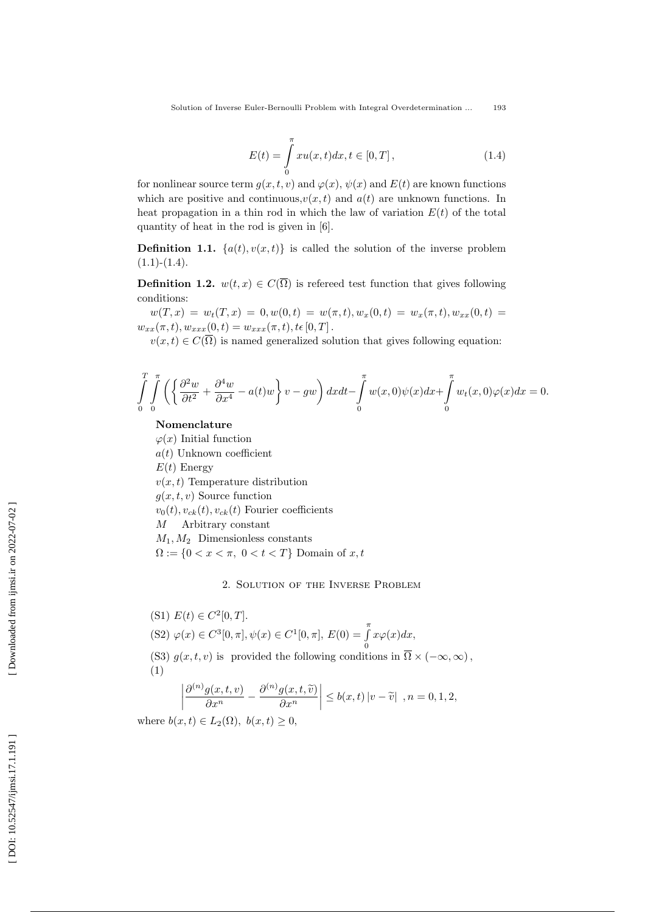$$
E(t) = \int_{0}^{\pi} xu(x, t)dx, t \in [0, T],
$$
\n(1.4)

for nonlinear source term  $g(x,t,v)$  and  $\varphi(x), \psi(x)$  and  $E(t)$  are known functions which are positive and continuous,  $v(x,t)$  and  $a(t)$  are unknown functions. In heat propagation in a thin rod in which the law of variation  $E(t)$  of the total quantity of heat in the rod is given in [6].

**Definition 1.1.**  $\{a(t), v(x,t)\}$  is called the solution of the inverse problem  $(1.1)-(1.4).$ 

**Definition 1.2.**  $w(t,x) \in C(\Omega)$  is referred test function that gives following conditions:

 $w(T,x) = w_t(T,x) = 0, w(0,t) = w(\pi,t), w_x(0,t) = w_x(\pi,t), w_{xx}(0,t) = 0$  $w_{xx}(\pi, t), w_{xxx}(0, t) = w_{xxx}(\pi, t), t \in [0, T]$ .

 $v(x,t) \in C(\Omega)$  is named generalized solution that gives following equation:

$$
\int_{0}^{T} \int_{0}^{\pi} \left( \left\{ \frac{\partial^2 w}{\partial t^2} + \frac{\partial^4 w}{\partial x^4} - a(t)w \right\} v - gw \right) dx dt - \int_{0}^{\pi} w(x,0)\psi(x) dx + \int_{0}^{\pi} w_t(x,0)\varphi(x) dx = 0.
$$

Nomenclature

 $\varphi(x)$  Initial function  $a(t)$  Unknown coefficient

 $E(t)$  Energy

 $v(x, t)$  Temperature distribution

 $g(x, t, v)$  Source function

 $v_0(t), v_{ck}(t), v_{ck}(t)$  Fourier coefficients

M Arbitrary constant

 $M_1, M_2$  Dimensionless constants

 $\Omega := \{0 < x < \pi, \ 0 < t < T\}$  Domain of  $x, t$ 

### 2. Solution of the Inverse Problem

\n- (S1) 
$$
E(t) \in C^2[0,T]
$$
.
\n- (S2)  $\varphi(x) \in C^3[0,\pi], \psi(x) \in C^1[0,\pi], E(0) = \int_0^{\pi} x \varphi(x) dx$ ,
\n- (S3)  $g(x,t,v)$  is provided the following conditions in  $\overline{\Omega} \times (-\infty,\infty)$ ,
\n- (1)
\n

$$
\left|\frac{\partial^{(n)}g(x,t,v)}{\partial x^n} - \frac{\partial^{(n)}g(x,t,\widetilde{v})}{\partial x^n}\right| \le b(x,t) \left| v - \widetilde{v} \right| , n = 0,1,2,
$$

where  $b(x,t) \in L_2(\Omega)$ ,  $b(x,t) \geq 0$ ,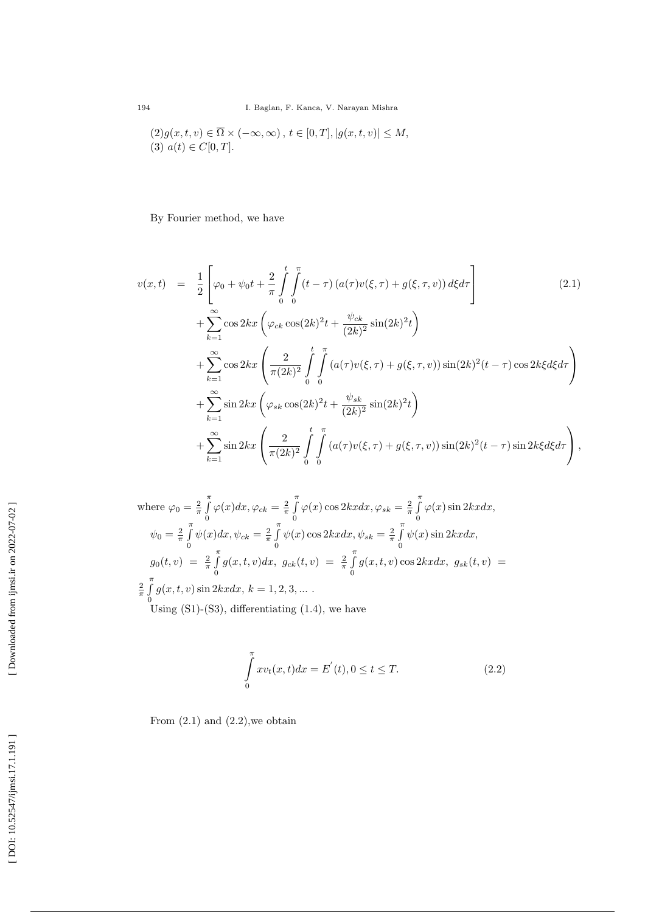$$
(2)g(x,t,v) \in \overline{\Omega} \times (-\infty, \infty), t \in [0,T], |g(x,t,v)| \le M,
$$
  

$$
(3) a(t) \in C[0,T].
$$

By Fourier method, we have

$$
v(x,t) = \frac{1}{2} \left[ \varphi_0 + \psi_0 t + \frac{2}{\pi} \int_0^t \int_0^{\pi} (t - \tau) (a(\tau) v(\xi, \tau) + g(\xi, \tau, v)) d\xi d\tau \right]
$$
(2.1)  
+ 
$$
\sum_{k=1}^{\infty} \cos 2kx \left( \varphi_{ck} \cos(2k)^2 t + \frac{\psi_{ck}}{(2k)^2} \sin(2k)^2 t \right)
$$
  
+ 
$$
\sum_{k=1}^{\infty} \cos 2kx \left( \frac{2}{\pi (2k)^2} \int_0^t \int_0^{\pi} (a(\tau) v(\xi, \tau) + g(\xi, \tau, v)) \sin(2k)^2 (t - \tau) \cos 2k\xi d\xi d\tau \right)
$$
  
+ 
$$
\sum_{k=1}^{\infty} \sin 2kx \left( \varphi_{sk} \cos(2k)^2 t + \frac{\psi_{sk}}{(2k)^2} \sin(2k)^2 t \right)
$$
  
+ 
$$
\sum_{k=1}^{\infty} \sin 2kx \left( \frac{2}{\pi (2k)^2} \int_0^t \int_0^{\pi} (a(\tau) v(\xi, \tau) + g(\xi, \tau, v)) \sin(2k)^2 (t - \tau) \sin 2k\xi d\xi d\tau \right),
$$

where 
$$
\varphi_0 = \frac{2}{\pi} \int_0^{\pi} \varphi(x) dx
$$
,  $\varphi_{ck} = \frac{2}{\pi} \int_0^{\pi} \varphi(x) \cos 2kx dx$ ,  $\varphi_{sk} = \frac{2}{\pi} \int_0^{\pi} \varphi(x) \sin 2kx dx$ ,  
\n
$$
\psi_0 = \frac{2}{\pi} \int_0^{\pi} \psi(x) dx
$$
,  $\psi_{ck} = \frac{2}{\pi} \int_0^{\pi} \psi(x) \cos 2kx dx$ ,  $\psi_{sk} = \frac{2}{\pi} \int_0^{\pi} \psi(x) \sin 2kx dx$ ,  
\n
$$
g_0(t, v) = \frac{2}{\pi} \int_0^{\pi} g(x, t, v) dx
$$
,  $g_{ck}(t, v) = \frac{2}{\pi} \int_0^{\pi} g(x, t, v) \cos 2kx dx$ ,  $g_{sk}(t, v) = \frac{2}{\pi} \int_0^{\pi} g(x, t, v) \sin 2kx dx$ ,  $k = 1, 2, 3, ...$   
\nUsing (S1)-(S3), differentiating (1.4), we have

$$
\int_{0}^{\pi} x v_t(x, t) dx = E'(t), 0 \le t \le T.
$$
\n(2.2)

From  $(2.1)$  and  $(2.2)$ , we obtain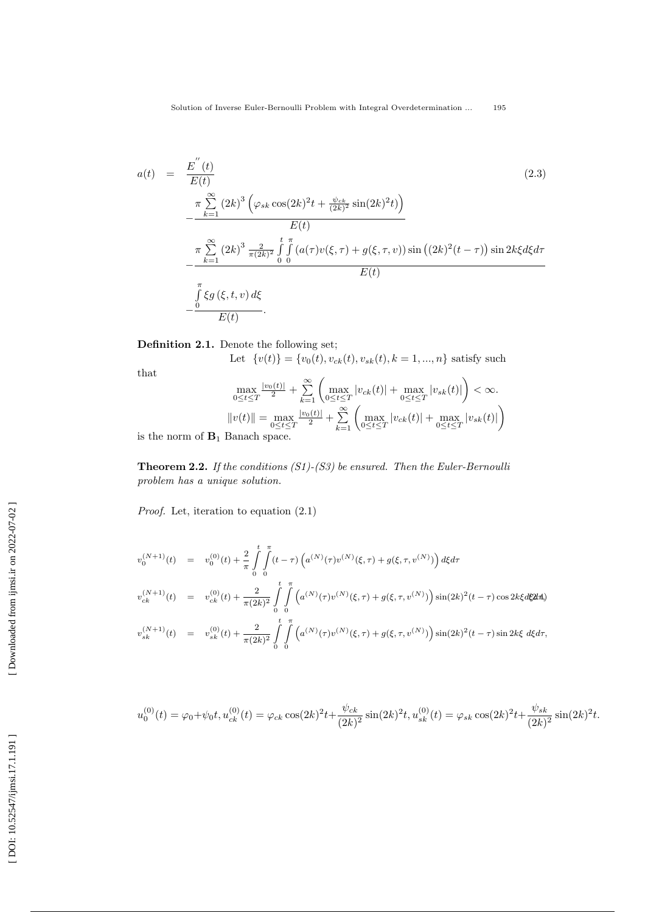$$
a(t) = \frac{E^{''}(t)}{E(t)}
$$
\n
$$
= \frac{\pi \sum_{k=1}^{\infty} (2k)^{3} \left(\varphi_{sk} \cos(2k)^{2}t + \frac{\psi_{ck}}{(2k)^{2}} \sin(2k)^{2}t\right)}{E(t)}
$$
\n
$$
= \frac{\pi \sum_{k=1}^{\infty} (2k)^{3} \frac{2}{\pi (2k)^{2}} \int_{0}^{t} \int_{0}^{\pi} (a(\tau)v(\xi, \tau) + g(\xi, \tau, v)) \sin((2k)^{2}(t-\tau)) \sin(2k\xi d\xi d\tau)}{E(t)}
$$
\n
$$
= \frac{\int_{0}^{\pi} \xi g(\xi, t, v) d\xi}{E(t)}.
$$
\n(2.3)

Definition 2.1. Denote the following set;

Let  $\{v(t)\} = \{v_0(t), v_{ck}(t), v_{sk}(t), k = 1, ..., n\}$  satisfy such

that

$$
\max_{0 \le t \le T} \frac{|v_0(t)|}{2} + \sum_{k=1}^{\infty} \left( \max_{0 \le t \le T} |v_{ck}(t)| + \max_{0 \le t \le T} |v_{sk}(t)| \right) < \infty.
$$
  
\n
$$
||v(t)|| = \max_{0 \le t \le T} \frac{|v_0(t)|}{2} + \sum_{k=1}^{\infty} \left( \max_{0 \le t \le T} |v_{ck}(t)| + \max_{0 \le t \le T} |v_{sk}(t)| \right)
$$
  
\nRange

is the norm of  $B_1$  Banach space.

**Theorem 2.2.** If the conditions  $(S1)$ - $(S3)$  be ensured. Then the Euler-Bernoulli problem has a unique solution.

Proof. Let, iteration to equation (2.1)

$$
v_0^{(N+1)}(t) = v_0^{(0)}(t) + \frac{2}{\pi} \int_0^t \int_0^{\pi} (t - \tau) \left( a^{(N)}(\tau) v^{(N)}(\xi, \tau) + g(\xi, \tau, v^{(N)}) \right) d\xi d\tau
$$
  

$$
v_{ck}^{(N+1)}(t) = v_{ck}^{(0)}(t) + \frac{2}{\pi (2k)^2} \int_0^t \int_0^{\pi} \left( a^{(N)}(\tau) v^{(N)}(\xi, \tau) + g(\xi, \tau, v^{(N)}) \right) \sin(2k)^2 (t - \tau) \cos 2k\xi d\xi^2 d\tau
$$
  

$$
v_{sk}^{(N+1)}(t) = v_{sk}^{(0)}(t) + \frac{2}{\pi (2k)^2} \int_0^t \int_0^{\pi} \left( a^{(N)}(\tau) v^{(N)}(\xi, \tau) + g(\xi, \tau, v^{(N)}) \right) \sin(2k)^2 (t - \tau) \sin 2k\xi d\xi d\tau,
$$

$$
u_0^{(0)}(t) = \varphi_0 + \psi_0 t, u_{ck}^{(0)}(t) = \varphi_{ck} \cos(2k)^2 t + \frac{\psi_{ck}}{(2k)^2} \sin(2k)^2 t, u_{sk}^{(0)}(t) = \varphi_{sk} \cos(2k)^2 t + \frac{\psi_{sk}}{(2k)^2} \sin(2k)^2 t.
$$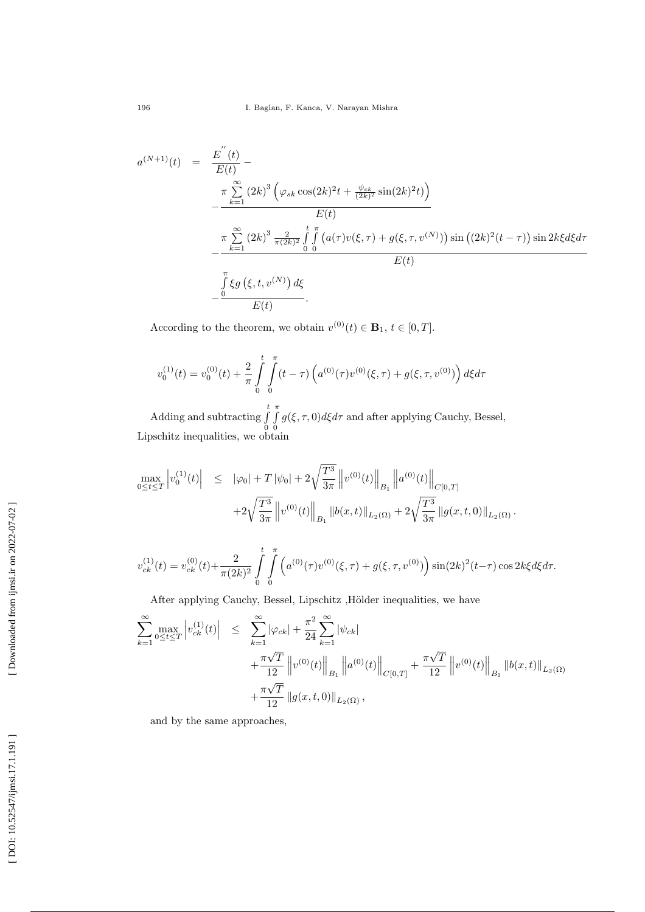$$
a^{(N+1)}(t) = \frac{E^{''}(t)}{E(t)} - \frac{\pi \sum_{k=1}^{\infty} (2k)^3 \left( \varphi_{sk} \cos(2k)^2 t + \frac{\psi_{ck}}{(2k)^2} \sin(2k)^2 t \right)}{E(t)} - \frac{\pi \sum_{k=1}^{\infty} (2k)^3 \frac{2}{\pi (2k)^2} \int_{0}^{t} \int_{0}^{\pi} (a(\tau) v(\xi, \tau) + g(\xi, \tau, v^{(N)})) \sin((2k)^2 (t - \tau)) \sin 2k\xi d\xi d\tau}{E(t)} - \frac{\int_{0}^{\pi} \xi g(\xi, t, v^{(N)}) d\xi}{E(t)}.
$$

According to the theorem, we obtain  $v^{(0)}(t) \in \mathbf{B}_1$ ,  $t \in [0, T]$ .

$$
v_0^{(1)}(t) = v_0^{(0)}(t) + \frac{2}{\pi} \int_{0}^{t} \int_{0}^{\pi} (t - \tau) \left( a^{(0)}(\tau) v^{(0)}(\xi, \tau) + g(\xi, \tau, v^{(0)}) \right) d\xi d\tau
$$

Adding and subtracting  $\int_{0}^{t}$ 0  $\int$ 0  $g(\xi, \tau, 0)d\xi d\tau$  and after applying Cauchy, Bessel, Lipschitz inequalities, we obtain

$$
\begin{array}{rcl}\max_{0 \leq t \leq T} \left | v_0^{(1)}(t) \right | & \leq & \left | \varphi_0 \right | + T \left | \psi_0 \right | + 2 \sqrt{\frac{T^3}{3\pi}} \left \| v^{(0)}(t) \right \|_{B_1} \left \| a^{(0)}(t) \right \|_{C[0,T]} \\ & & \left . + 2 \sqrt{\frac{T^3}{3\pi}} \left \| v^{(0)}(t) \right \|_{B_1} \left \| b(x,t) \right \|_{L_2(\Omega)} + 2 \sqrt{\frac{T^3}{3\pi}} \left \| g(x,t,0) \right \|_{L_2(\Omega)}.\end{array}
$$

$$
v_{ck}^{(1)}(t) = v_{ck}^{(0)}(t) + \frac{2}{\pi(2k)^2} \int_{0}^{t} \int_{0}^{\pi} \left( a^{(0)}(\tau) v^{(0)}(\xi, \tau) + g(\xi, \tau, v^{(0)}) \right) \sin(2k)^2(t-\tau) \cos 2k\xi d\xi d\tau.
$$

After applying Cauchy, Bessel, Lipschitz , Hölder inequalities, we have

$$
\sum_{k=1}^{\infty} \max_{0 \le t \le T} \left| v_{ck}^{(1)}(t) \right| \le \sum_{k=1}^{\infty} |\varphi_{ck}| + \frac{\pi^2}{24} \sum_{k=1}^{\infty} |\psi_{ck}| + \frac{\pi \sqrt{T}}{12} \left\| v^{(0)}(t) \right\|_{B_1} \left\| a^{(0)}(t) \right\|_{C[0,T]} + \frac{\pi \sqrt{T}}{12} \left\| v^{(0)}(t) \right\|_{B_1} \left\| b(x,t) \right\|_{L_2(\Omega)} + \frac{\pi \sqrt{T}}{12} \left\| g(x,t,0) \right\|_{L_2(\Omega)},
$$

and by the same approaches,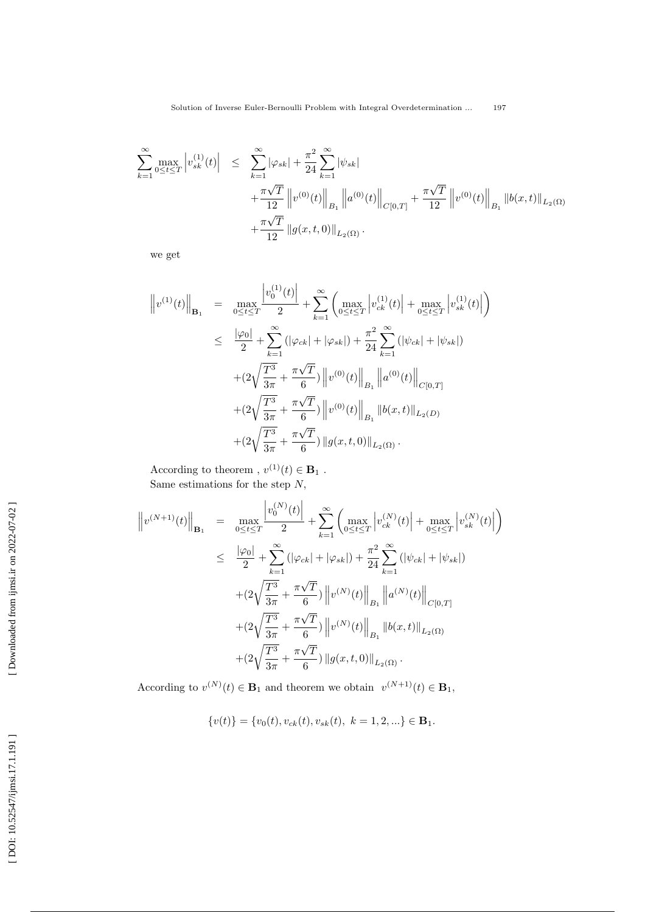$$
\sum_{k=1}^{\infty} \max_{0 \le t \le T} \left| v_{sk}^{(1)}(t) \right| \le \sum_{k=1}^{\infty} |\varphi_{sk}| + \frac{\pi^2}{24} \sum_{k=1}^{\infty} |\psi_{sk}| + \frac{\pi\sqrt{T}}{12} \left\| v^{(0)}(t) \right\|_{B_1} \left\| a^{(0)}(t) \right\|_{C[0,T]} + \frac{\pi\sqrt{T}}{12} \left\| v^{(0)}(t) \right\|_{B_1} \left\| b(x,t) \right\|_{L_2(\Omega)} + \frac{\pi\sqrt{T}}{12} \left\| g(x,t,0) \right\|_{L_2(\Omega)}.
$$

we get

$$
\|v^{(1)}(t)\|_{\mathbf{B}_1} = \max_{0 \le t \le T} \frac{\left|v_0^{(1)}(t)\right|}{2} + \sum_{k=1}^{\infty} \left(\max_{0 \le t \le T} \left|v_{ck}^{(1)}(t)\right| + \max_{0 \le t \le T} \left|v_{sk}^{(1)}(t)\right|\right)
$$
  
\n
$$
\le \frac{|\varphi_0|}{2} + \sum_{k=1}^{\infty} \left(|\varphi_{ck}| + |\varphi_{sk}|\right) + \frac{\pi^2}{24} \sum_{k=1}^{\infty} \left(|\psi_{ck}| + |\psi_{sk}|\right)
$$
  
\n
$$
+ \left(2\sqrt{\frac{T^3}{3\pi}} + \frac{\pi\sqrt{T}}{6}\right) \left\|v^{(0)}(t)\right\|_{B_1} \left\|a^{(0)}(t)\right\|_{C[0,T]} + \left(2\sqrt{\frac{T^3}{3\pi}} + \frac{\pi\sqrt{T}}{6}\right) \left\|v^{(0)}(t)\right\|_{B_1} \left\|b(x,t)\right\|_{L_2(D)} + \left(2\sqrt{\frac{T^3}{3\pi}} + \frac{\pi\sqrt{T}}{6}\right) \left\|g(x,t,0)\right\|_{L_2(\Omega)}.
$$

According to theorem ,  $v^{(1)}(t) \in \mathbf{B}_1$ . Same estimations for the step N,

$$
\|v^{(N+1)}(t)\|_{\mathbf{B}_1} = \max_{0 \le t \le T} \frac{|v_0^{(N)}(t)|}{2} + \sum_{k=1}^{\infty} \left( \max_{0 \le t \le T} \left| v_{ck}^{(N)}(t) \right| + \max_{0 \le t \le T} \left| v_{sk}^{(N)}(t) \right| \right)
$$
  
\n
$$
\le \frac{|\varphi_0|}{2} + \sum_{k=1}^{\infty} \left( |\varphi_{ck}| + |\varphi_{sk}| \right) + \frac{\pi^2}{24} \sum_{k=1}^{\infty} \left( |\psi_{ck}| + |\psi_{sk}| \right)
$$
  
\n
$$
+ (2\sqrt{\frac{T^3}{3\pi}} + \frac{\pi\sqrt{T}}{6}) ||v^{(N)}(t)||_{B_1} ||a^{(N)}(t)||_{C[0,T]}
$$
  
\n
$$
+ (2\sqrt{\frac{T^3}{3\pi}} + \frac{\pi\sqrt{T}}{6}) ||v^{(N)}(t)||_{B_1} ||b(x, t)||_{L_2(\Omega)}
$$
  
\n
$$
+ (2\sqrt{\frac{T^3}{3\pi}} + \frac{\pi\sqrt{T}}{6}) ||g(x, t, 0)||_{L_2(\Omega)}.
$$

According to  $v^{(N)}(t) \in \mathbf{B}_1$  and theorem we obtain  $v^{(N+1)}(t) \in \mathbf{B}_1$ ,

$$
\{v(t)\} = \{v_0(t), v_{ck}(t), v_{sk}(t), k = 1, 2, ...\} \in \mathbf{B}_1.
$$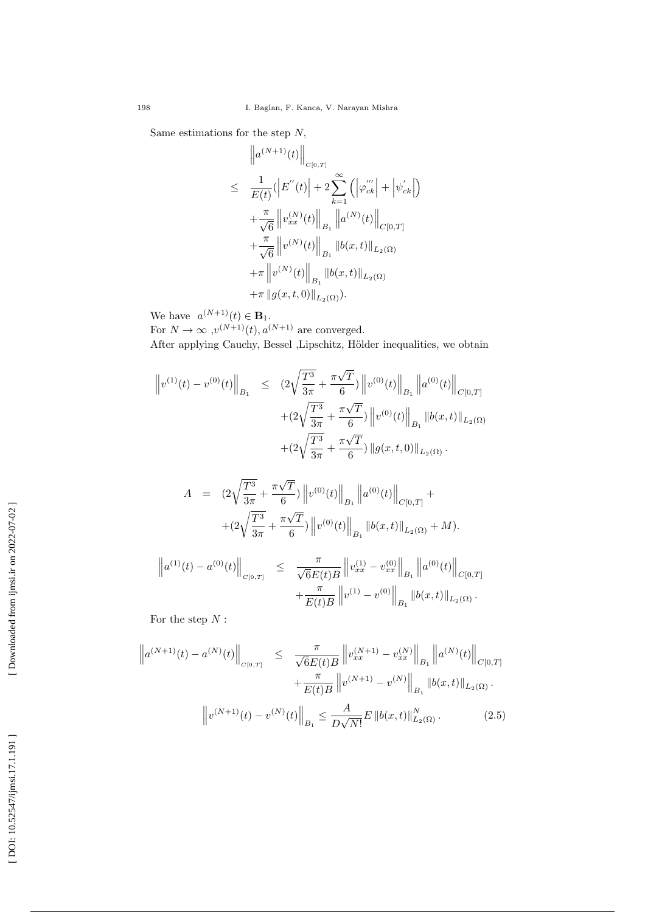Same estimations for the step N,

$$
\|a^{(N+1)}(t)\|_{C^{[0,T]}}\leq \frac{1}{E(t)}(\left|E^{''}(t)\right|+2\sum_{k=1}^{\infty}\left(\left|\varphi_{ck}^{'''}\right|+\left|\psi_{ck}^{'}\right|\right)\\+\frac{\pi}{\sqrt{6}}\left\|v_{xx}^{(N)}(t)\right\|_{B_{1}}\left\|a^{(N)}(t)\right\|_{C[0,T]}\\+\frac{\pi}{\sqrt{6}}\left\|v^{(N)}(t)\right\|_{B_{1}}\left\|b(x,t)\right\|_{L_{2}(\Omega)}\\+\pi\left\|v^{(N)}(t)\right\|_{B_{1}}\left\|b(x,t)\right\|_{L_{2}(\Omega)}\\+\pi\left\|g(x,t,0)\right\|_{L_{2}(\Omega)}.
$$

We have  $a^{(N+1)}(t) \in \mathbf{B}_1$ .

For  $N \to \infty$ ,  $v^{(N+1)}(t)$ ,  $a^{(N+1)}$  are converged. After applying Cauchy, Bessel ,Lipschitz, Hölder inequalities, we obtain

$$
\left\|v^{(1)}(t) - v^{(0)}(t)\right\|_{B_1} \leq (2\sqrt{\frac{T^3}{3\pi}} + \frac{\pi\sqrt{T}}{6}) \left\|v^{(0)}(t)\right\|_{B_1} \left\|a^{(0)}(t)\right\|_{C[0,T]} + (2\sqrt{\frac{T^3}{3\pi}} + \frac{\pi\sqrt{T}}{6}) \left\|v^{(0)}(t)\right\|_{B_1} \left\|b(x,t)\right\|_{L_2(\Omega)} + (2\sqrt{\frac{T^3}{3\pi}} + \frac{\pi\sqrt{T}}{6}) \left\|g(x,t,0)\right\|_{L_2(\Omega)}.
$$

$$
A = (2\sqrt{\frac{T^3}{3\pi}} + \frac{\pi\sqrt{T}}{6}) ||v^{(0)}(t)||_{B_1} ||a^{(0)}(t)||_{C[0,T]} +
$$
  
+ 
$$
(2\sqrt{\frac{T^3}{3\pi}} + \frac{\pi\sqrt{T}}{6}) ||v^{(0)}(t)||_{B_1} ||b(x,t)||_{L_2(\Omega)} + M).
$$

$$
\|a^{(1)}(t) - a^{(0)}(t)\|_{C[0,T]} \leq \frac{\pi}{\sqrt{6}E(t)B} \|v_{xx}^{(1)} - v_{xx}^{(0)}\|_{B_1} \|a^{(0)}(t)\|_{C[0,T]} + \frac{\pi}{E(t)B} \|v^{(1)} - v^{(0)}\|_{B_1} \|b(x,t)\|_{L_2(\Omega)}.
$$

For the step  $N$ :

$$
\left\| a^{(N+1)}(t) - a^{(N)}(t) \right\|_{C[0,T]} \leq \frac{\pi}{\sqrt{6}E(t)B} \left\| v_{xx}^{(N+1)} - v_{xx}^{(N)} \right\|_{B_1} \left\| a^{(N)}(t) \right\|_{C[0,T]} \n+ \frac{\pi}{E(t)B} \left\| v^{(N+1)} - v^{(N)} \right\|_{B_1} \left\| b(x,t) \right\|_{L_2(\Omega)}.
$$
\n
$$
\left\| v^{(N+1)}(t) - v^{(N)}(t) \right\|_{B_1} \leq \frac{A}{D\sqrt{N!}} E \left\| b(x,t) \right\|_{L_2(\Omega)}^N.
$$
\n(2.5)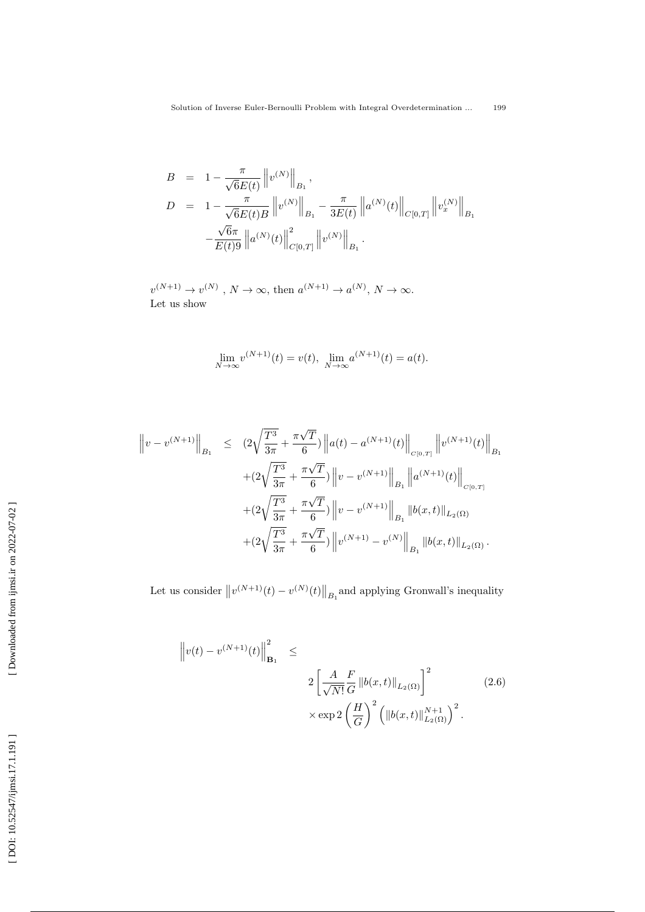$$
B = 1 - \frac{\pi}{\sqrt{6}E(t)} \|v^{(N)}\|_{B_1},
$$
  
\n
$$
D = 1 - \frac{\pi}{\sqrt{6}E(t)B} \|v^{(N)}\|_{B_1} - \frac{\pi}{3E(t)} \|a^{(N)}(t)\|_{C[0,T]} \|v_x^{(N)}\|_{B_1}
$$
  
\n
$$
-\frac{\sqrt{6}\pi}{E(t)9} \|a^{(N)}(t)\|_{C[0,T]}^2 \|v^{(N)}\|_{B_1}.
$$

 $v^{(N+1)} \to v^{(N)}$ ,  $N \to \infty$ , then  $a^{(N+1)} \to a^{(N)}$ ,  $N \to \infty$ . Let us show

$$
\lim_{N \to \infty} v^{(N+1)}(t) = v(t), \ \lim_{N \to \infty} a^{(N+1)}(t) = a(t).
$$

$$
\|v - v^{(N+1)}\|_{B_1} \le (2\sqrt{\frac{T^3}{3\pi}} + \frac{\pi\sqrt{T}}{6}) \|a(t) - a^{(N+1)}(t)\|_{C[0,T]} \|v^{(N+1)}(t)\|_{B_1}
$$
  
 
$$
+ (2\sqrt{\frac{T^3}{3\pi}} + \frac{\pi\sqrt{T}}{6}) \|v - v^{(N+1)}\|_{B_1} \|a^{(N+1)}(t)\|_{C[0,T]}
$$
  
 
$$
+ (2\sqrt{\frac{T^3}{3\pi}} + \frac{\pi\sqrt{T}}{6}) \|v - v^{(N+1)}\|_{B_1} \|b(x,t)\|_{L_2(\Omega)}
$$
  
 
$$
+ (2\sqrt{\frac{T^3}{3\pi}} + \frac{\pi\sqrt{T}}{6}) \|v^{(N+1)} - v^{(N)}\|_{B_1} \|b(x,t)\|_{L_2(\Omega)}.
$$

Let us consider  $||v^{(N+1)}(t) - v^{(N)}(t)||_{B_1}$  and applying Gronwall's inequality

$$
\left\|v(t) - v^{(N+1)}(t)\right\|_{\mathbf{B}_1}^2 \leq
$$
  

$$
2\left[\frac{A}{\sqrt{N!}}\frac{F}{G}\left\|b(x,t)\right\|_{L_2(\Omega)}\right]^2
$$
  

$$
\times \exp 2\left(\frac{H}{G}\right)^2 \left(\left\|b(x,t)\right\|_{L_2(\Omega)}^{N+1}\right)^2.
$$
 (2.6)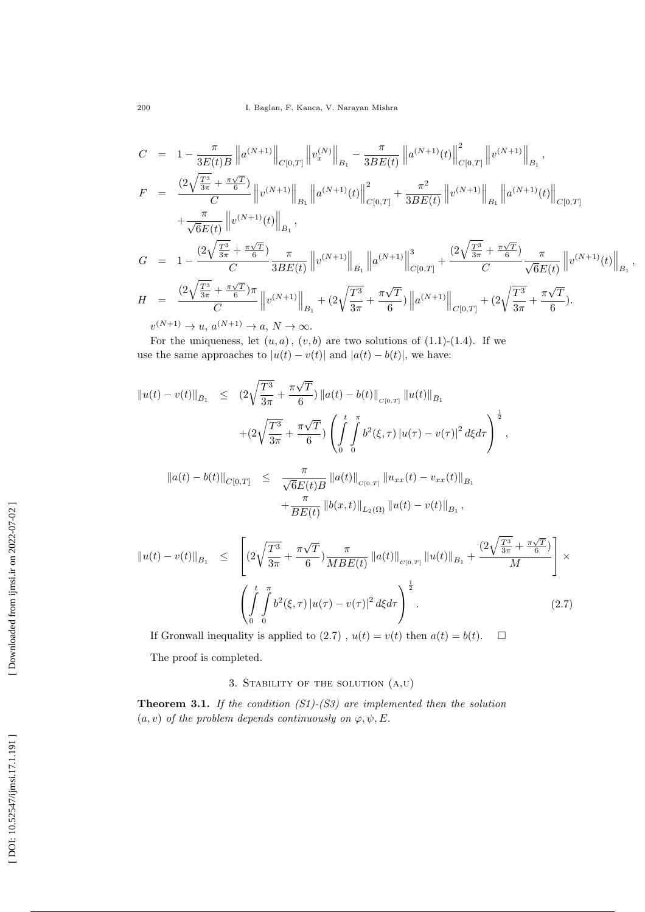$$
C = 1 - \frac{\pi}{3E(t)B} \|a^{(N+1)}\|_{C[0,T]} \|v_x^{(N)}\|_{B_1} - \frac{\pi}{3BE(t)} \|a^{(N+1)}(t)\|_{C[0,T]}^2 \|v^{(N+1)}\|_{B_1},
$$
  
\n
$$
F = \frac{(2\sqrt{\frac{T^3}{3\pi}} + \frac{\pi\sqrt{T}}{6})}{C} \|v^{(N+1)}\|_{B_1} \|a^{(N+1)}(t)\|_{C[0,T]}^2 + \frac{\pi^2}{3BE(t)} \|v^{(N+1)}\|_{B_1} \|a^{(N+1)}(t)\|_{C[0,T]} + \frac{\pi}{\sqrt{6}E(t)} \|v^{(N+1)}(t)\|_{B_1},
$$
  
\n
$$
G = 1 - \frac{(2\sqrt{\frac{T^3}{3\pi}} + \frac{\pi\sqrt{T}}{6})}{C} \frac{\pi}{3BE(t)} \|v^{(N+1)}\|_{B_1} \|a^{(N+1)}\|_{C[0,T]}^3 + \frac{(2\sqrt{\frac{T^3}{3\pi}} + \frac{\pi\sqrt{T}}{6})}{C} \frac{\pi}{\sqrt{6}E(t)} \|v^{(N+1)}(t)\|_{B_1},
$$
  
\n
$$
H = \frac{(2\sqrt{\frac{T^3}{3\pi}} + \frac{\pi\sqrt{T}}{6})}{C} \|v^{(N+1)}\|_{B_1} + (2\sqrt{\frac{T^3}{3\pi}} + \frac{\pi\sqrt{T}}{6}) \|a^{(N+1)}\|_{C[0,T]} + (2\sqrt{\frac{T^3}{3\pi}} + \frac{\pi\sqrt{T}}{6}).
$$

 $v^{(N+1)} \to u, a^{(N+1)} \to a, N \to \infty.$ 

For the uniqueness, let  $(u, a)$ ,  $(v, b)$  are two solutions of  $(1.1)-(1.4)$ . If we use the same approaches to  $|u(t) - v(t)|$  and  $|a(t) - b(t)|$ , we have:

$$
||u(t) - v(t)||_{B_1} \leq (2\sqrt{\frac{T^3}{3\pi}} + \frac{\pi\sqrt{T}}{6}) ||a(t) - b(t)||_{C[0,T]} ||u(t)||_{B_1}
$$
  
+ 
$$
(2\sqrt{\frac{T^3}{3\pi}} + \frac{\pi\sqrt{T}}{6}) \left( \int_0^t \int_0^{\pi} b^2(\xi, \tau) |u(\tau) - v(\tau)|^2 d\xi d\tau \right)^{\frac{1}{2}},
$$
  

$$
||a(t) - b(t)||_{C[0,T]} \leq \frac{\pi}{\sqrt{6}E(t)B} ||a(t)||_{C[0,T]} ||u_{xx}(t) - v_{xx}(t)||_{B_1}
$$
  
+ 
$$
\frac{\pi}{BE(t)} ||b(x, t)||_{L_2(\Omega)} ||u(t) - v(t)||_{B_1},
$$

$$
\|u(t) - v(t)\|_{B_1} \leq \left[ (2\sqrt{\frac{T^3}{3\pi}} + \frac{\pi\sqrt{T}}{6}) \frac{\pi}{MBE(t)} \|a(t)\|_{C[0,T]} \|u(t)\|_{B_1} + \frac{(2\sqrt{\frac{T^3}{3\pi}} + \frac{\pi\sqrt{T}}{6})}{M} \right] \times \left( \int_0^t \int_0^{\pi} b^2(\xi, \tau) |u(\tau) - v(\tau)|^2 d\xi d\tau \right)^{\frac{1}{2}}.
$$
 (2.7)

If Gronwall inequality is applied to  $(2.7)$ ,  $u(t) = v(t)$  then  $a(t) = b(t)$ .  $\Box$ 

The proof is completed.

# 3. STABILITY OF THE SOLUTION  $(A,U)$

**Theorem 3.1.** If the condition  $(S1)$ - $(S3)$  are implemented then the solution  $(a, v)$  of the problem depends continuously on  $\varphi, \psi, E$ .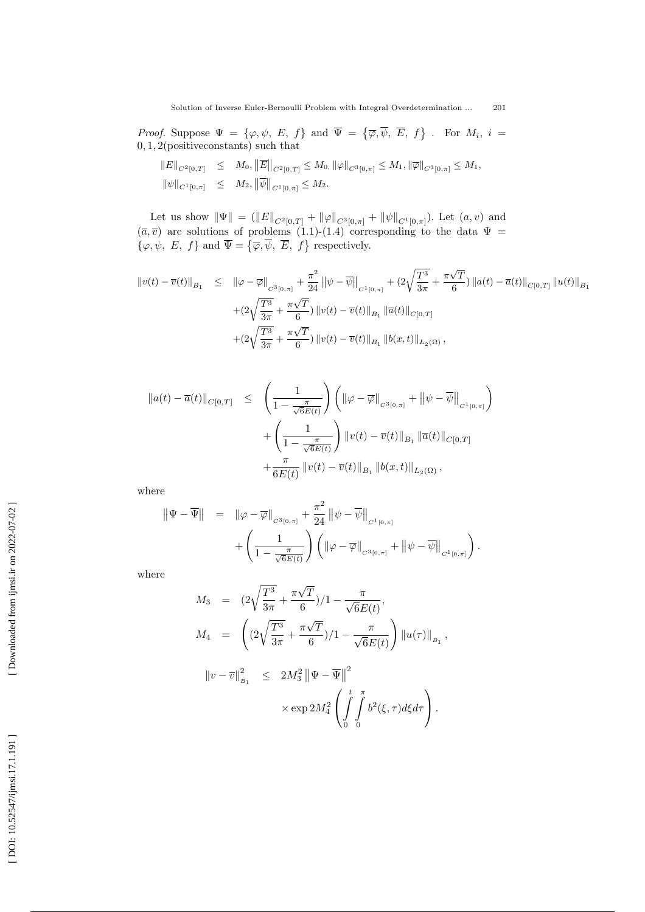*Proof.* Suppose  $\Psi = {\varphi, \psi, E, f}$  and  $\overline{\Psi} = {\overline{\varphi}, \overline{\psi}, \overline{E}, f}$ . For  $M_i$ ,  $i =$ 0 , 1 , 2(positiveconstants) such that

$$
\begin{array}{rcl}\n\|E\|_{C^{2}[0,T]} & \leq & M_0, \|\overline{E}\|_{C^{2}[0,T]} \leq M_0, \|\varphi\|_{C^{3}[0,\pi]} \leq M_1, \|\overline{\varphi}\|_{C^{3}[0,\pi]} \leq M_1, \\
\|\psi\|_{C^{1}[0,\pi]} & \leq & M_2, \|\overline{\psi}\|_{C^{1}[0,\pi]} \leq M_2.\n\end{array}
$$

Let us show  $\|\Psi\| = (\|E\|_{C^2[0,T]} + \|\varphi\|_{C^3[0,\pi]} + \|\psi\|_{C^1[0,\pi]}).$  Let  $(a, v)$  and  $(\bar{a}, \bar{v})$  are solutions of problems (1.1)-(1.4) corresponding to the data  $\Psi =$  $\{\varphi, \psi, E, f\}$  and  $\overline{\Psi} = \{\overline{\varphi}, \overline{\psi}, \overline{E}, f\}$  respectively.

$$
\begin{split} \|v(t)-\overline{v}(t)\|_{B_1} &\leq \quad \left\|\varphi-\overline{\varphi}\right\|_{C^3[0,\pi]} + \frac{\pi^2}{24} \left\|\psi-\overline{\psi}\right\|_{C^1[0,\pi]} + (2\sqrt{\frac{T^3}{3\pi}} + \frac{\pi\sqrt{T}}{6}) \left\|a(t)-\overline{a}(t)\right\|_{C[0,T]} \|u(t)\|_{B_1} \\ &+ (2\sqrt{\frac{T^3}{3\pi}} + \frac{\pi\sqrt{T}}{6}) \left\|v(t)-\overline{v}(t)\right\|_{B_1} \left\|\overline{a}(t)\right\|_{C[0,T]} \\ &+ (2\sqrt{\frac{T^3}{3\pi}} + \frac{\pi\sqrt{T}}{6}) \left\|v(t)-\overline{v}(t)\right\|_{B_1} \left\|b(x,t)\right\|_{L_2(\Omega)}, \end{split}
$$

$$
\begin{array}{rcl} \displaystyle \|a(t)-\overline{a}(t)\|_{C[0,T]} & \leq & \displaystyle \left(\frac{1}{1-\frac{\pi}{\sqrt{6}E(t)}}\right)\left(\left\|\varphi-\overline{\varphi}\right\|_{C^{3}[0,\pi]}+\left\|\psi-\overline{\psi}\right\|_{C^{1}[0,\pi]}\right) \\[0.4cm] & +\displaystyle \left(\frac{1}{1-\frac{\pi}{\sqrt{6}E(t)}}\right)\left\|v(t)-\overline{v}(t)\right\|_{B_1}\left\|\overline{a}(t)\right\|_{C[0,T]} \\[0.4cm] & +\displaystyle \frac{\pi}{6E(t)}\left\|v(t)-\overline{v}(t)\right\|_{B_1}\left\|b(x,t)\right\|_{L_2(\Omega)}, \end{array}
$$

where

$$
\|\Psi - \overline{\Psi}\| = \|\varphi - \overline{\varphi}\|_{C^{3}[0,\pi]} + \frac{\pi^{2}}{24} \|\psi - \overline{\psi}\|_{C^{1}[0,\pi]} + \left(\frac{1}{1 - \frac{\pi}{\sqrt{6E(t)}}}\right) \left(\|\varphi - \overline{\varphi}\|_{C^{3}[0,\pi]} + \|\psi - \overline{\psi}\|_{C^{1}[0,\pi]}\right).
$$

where

$$
M_3 = (2\sqrt{\frac{T^3}{3\pi}} + \frac{\pi\sqrt{T}}{6})/1 - \frac{\pi}{\sqrt{6}E(t)},
$$
  
\n
$$
M_4 = \left( (2\sqrt{\frac{T^3}{3\pi}} + \frac{\pi\sqrt{T}}{6})/1 - \frac{\pi}{\sqrt{6}E(t)} \right) ||u(\tau)||_{B_1},
$$
  
\n
$$
||v - \overline{v}||_{B_1}^2 \le 2M_3^2 ||\Psi - \overline{\Psi}||^2
$$
  
\n
$$
\times \exp 2M_4^2 \left( \int_0^t \int_0^{\pi} b^2(\xi, \tau) d\xi d\tau \right).
$$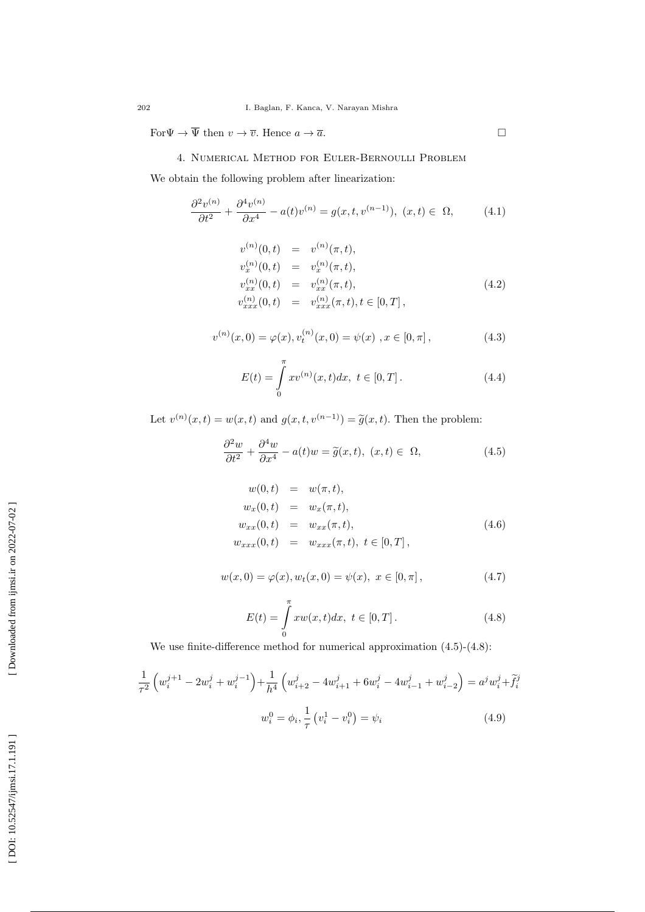For  $\Psi \to \Psi$  then  $v \to \overline{v}$ . Hence  $a \to \overline{a}$ .

### 4. Numerical Method for Euler-Bernoulli Problem

We obtain the following problem after linearization:

$$
\frac{\partial^2 v^{(n)}}{\partial t^2} + \frac{\partial^4 v^{(n)}}{\partial x^4} - a(t)v^{(n)} = g(x, t, v^{(n-1)}), \ (x, t) \in \ \Omega,\tag{4.1}
$$

$$
v^{(n)}(0,t) = v^{(n)}(\pi,t),
$$
  
\n
$$
v_x^{(n)}(0,t) = v_x^{(n)}(\pi,t),
$$
  
\n
$$
v_{xx}^{(n)}(0,t) = v_{xx}^{(n)}(\pi,t),
$$
  
\n
$$
v_{xxx}^{(n)}(0,t) = v_{xxx}^{(n)}(\pi,t), t \in [0,T],
$$
\n(4.2)

 $\Box$ 

$$
v^{(n)}(x,0) = \varphi(x), v_t^{(n)}(x,0) = \psi(x), x \in [0,\pi],
$$
\n(4.3)

$$
E(t) = \int_{0}^{\pi} x v^{(n)}(x, t) dx, \ t \in [0, T]. \tag{4.4}
$$

Let  $v^{(n)}(x,t) = w(x,t)$  and  $g(x,t,v^{(n-1)}) = \tilde{g}(x,t)$ . Then the problem:

$$
\frac{\partial^2 w}{\partial t^2} + \frac{\partial^4 w}{\partial x^4} - a(t)w = \tilde{g}(x, t), \ (x, t) \in \ \Omega,
$$
\n(4.5)

$$
w(0, t) = w(\pi, t),
$$
  
\n
$$
w_x(0, t) = w_x(\pi, t),
$$
  
\n
$$
w_{xx}(0, t) = w_{xx}(\pi, t),
$$
  
\n
$$
w_{xxx}(0, t) = w_{xxx}(\pi, t), t \in [0, T],
$$
  
\n(4.6)

$$
w(x,0) = \varphi(x), w_t(x,0) = \psi(x), \ x \in [0,\pi], \tag{4.7}
$$

$$
E(t) = \int_{0}^{\pi} x w(x, t) dx, \ t \in [0, T].
$$
 (4.8)

We use finite-difference method for numerical approximation  $(4.5)-(4.8)$ :

$$
\frac{1}{\tau^2} \left( w_i^{j+1} - 2w_i^j + w_i^{j-1} \right) + \frac{1}{h^4} \left( w_{i+2}^j - 4w_{i+1}^j + 6w_i^j - 4w_{i-1}^j + w_{i-2}^j \right) = a^j w_i^j + \tilde{f}_i^j
$$

$$
w_i^0 = \phi_i, \frac{1}{\tau} \left( v_i^1 - v_i^0 \right) = \psi_i \tag{4.9}
$$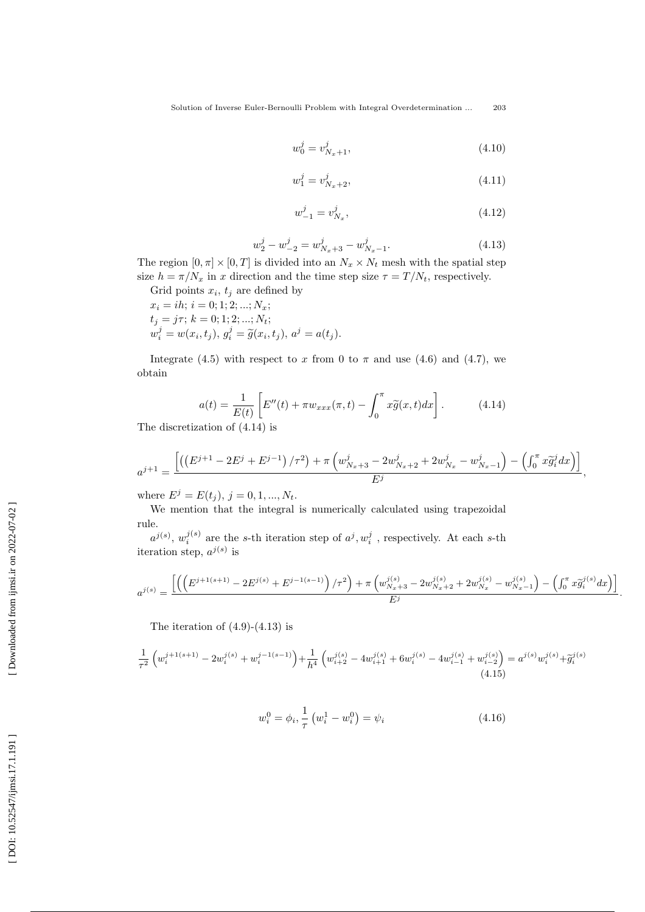$$
w_0^j = v_{N_x+1}^j,\tag{4.10}
$$

$$
w_1^j = v_{N_x+2}^j,\tag{4.11}
$$

$$
w_{-1}^j = v_{N_x}^j,\tag{4.12}
$$

$$
w_2^j - w_{-2}^j = w_{N_x+3}^j - w_{N_x-1}^j.
$$
\n(4.13)

The region  $[0, \pi] \times [0, T]$  is divided into an  $N_x \times N_t$  mesh with the spatial step size  $h = \pi/N_x$  in x direction and the time step size  $\tau = T/N_t$ , respectively.

Grid points  $x_i$ ,  $t_j$  are defined by  $x_i = ih; i = 0; 1; 2; ...; N_x;$  $t_j = j\tau; k = 0; 1; 2; ...; N_t;$  $w_i^j = w(x_i, t_j), g_i^j = \tilde{g}(x_i, t_j), a^j = a(t_j).$ 

Integrate (4.5) with respect to x from 0 to  $\pi$  and use (4.6) and (4.7), we obtain

$$
a(t) = \frac{1}{E(t)} \left[ E''(t) + \pi w_{xxx}(\pi, t) - \int_0^\pi x \tilde{g}(x, t) dx \right].
$$
 (4.14)

The discretization of (4.14) is

$$
a^{j+1} = \frac{\left[ \left( \left( E^{j+1} - 2E^j + E^{j-1} \right) / \tau^2 \right) + \pi \left( w_{N_x+3}^j - 2w_{N_x+2}^j + 2w_{N_x}^j - w_{N_x-1}^j \right) - \left( \int_0^{\pi} x \tilde{g}_i^j dx \right) \right]}{E^j}
$$

,

where  $E^j = E(t_j)$ ,  $j = 0, 1, ..., N_t$ .

We mention that the integral is numerically calculated using trapezoidal rule.

 $a^{j(s)}$ ,  $w_i^{j(s)}$  are the s-th iteration step of  $a^j$ ,  $w_i^j$ , respectively. At each s-th iteration step,  $a^{j(s)}$  is

$$
a^{j(s)}=\frac{\left[\left(\left(E^{j+1(s+1)}-2E^{j(s)}+E^{j-1(s-1)}\right)/\tau^2\right)+\pi\left(w^{j(s)}_{N_x+3}-2w^{j(s)}_{N_x+2}+2w^{j(s)}_{N_x}-w^{j(s)}_{N_x-1}\right)-\left(\int_0^\pi x\widetilde g^{j(s)}_i dx\right)\right]}{E^j}.
$$

The iteration of  $(4.9)-(4.13)$  is

$$
\frac{1}{\tau^2} \left( w_i^{j+1(s+1)} - 2w_i^{j(s)} + w_i^{j-1(s-1)} \right) + \frac{1}{h^4} \left( w_{i+2}^{j(s)} - 4w_{i+1}^{j(s)} + 6w_i^{j(s)} - 4w_{i-1}^{j(s)} + w_{i-2}^{j(s)} \right) = a^{j(s)} w_i^{j(s)} + \widetilde{g}_i^{j(s)}
$$
\n
$$
(4.15)
$$

$$
w_i^0 = \phi_i, \frac{1}{\tau} (w_i^1 - w_i^0) = \psi_i
$$
 (4.16)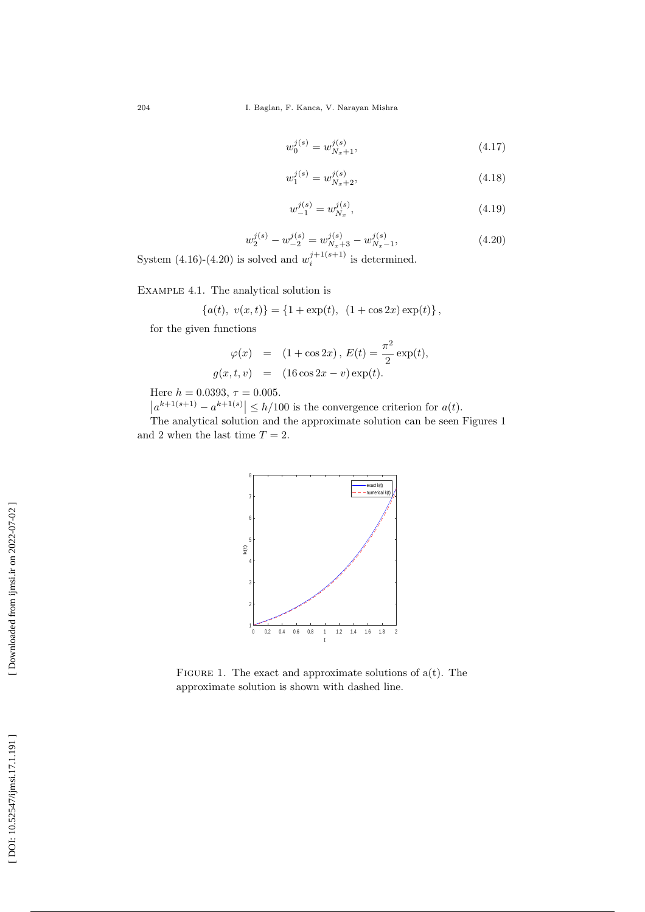204 I. Baglan, F. Kanca, V. Narayan Mishra

$$
w_0^{j(s)} = w_{N_x+1}^{j(s)},\tag{4.17}
$$

$$
w_1^{j(s)} = w_{N_x+2}^{j(s)},\tag{4.18}
$$

$$
w_{-1}^{j(s)} = w_{N_x}^{j(s)},\tag{4.19}
$$

$$
w_2^{j(s)} - w_{-2}^{j(s)} = w_{N_x+3}^{j(s)} - w_{N_x-1}^{j(s)},
$$
\n(4.20)

System  $(4.16)-(4.20)$  is solved and  $w_i^{j+1(s+1)}$  is determined.

Example 4.1 . The analytical solution is

$$
{a(t), v(x,t)} = {1 + \exp(t), (1 + \cos 2x) \exp(t)},
$$

for the given functions

$$
\varphi(x) = (1 + \cos 2x), E(t) = \frac{\pi^2}{2} \exp(t),
$$
  
\n $g(x, t, v) = (16 \cos 2x - v) \exp(t).$ 

Here  $h = 0.0393, \tau = 0.005$ .

 $|a^{k+1(s+1)} - a^{k+1(s)}| \leq h/100$  is the convergence criterion for  $a(t)$ .

The analytical solution and the approximate solution can be seen Figures 1 and 2 when the last time  $T = 2$ .



FIGURE 1. The exact and approximate solutions of  $a(t)$ . The approximate solution is shown with dashed line.

[DOI: 10.52547/ijmsi.17.1.191]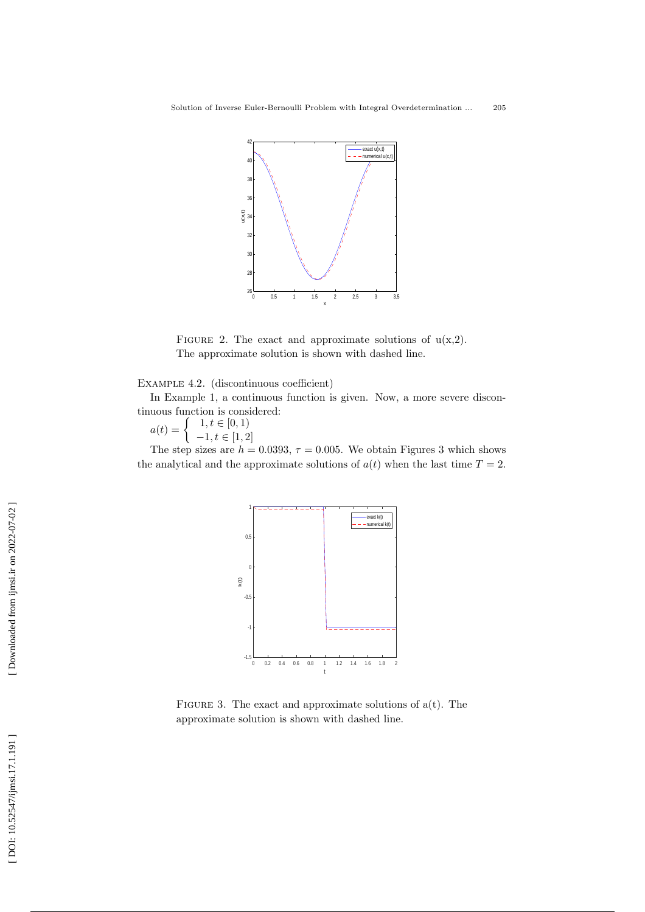

FIGURE 2. The exact and approximate solutions of  $u(x,2)$ . The approximate solution is shown with dashed line.

Example 4.2 . (discontinuous coefficient)

In Example 1, a continuous function is given. Now, a more severe discontinuous function is considered:

$$
a(t) = \begin{cases} 1, t \in [0, 1) \\ -1, t \in [1, 2] \end{cases}
$$

The step sizes are  $h = 0.0393$ ,  $\tau = 0.005$ . We obtain Figures 3 which shows the analytical and the approximate solutions of  $a(t)$  when the last time  $T = 2$ .



FIGURE 3. The exact and approximate solutions of  $a(t)$ . The approximate solution is shown with dashed line.